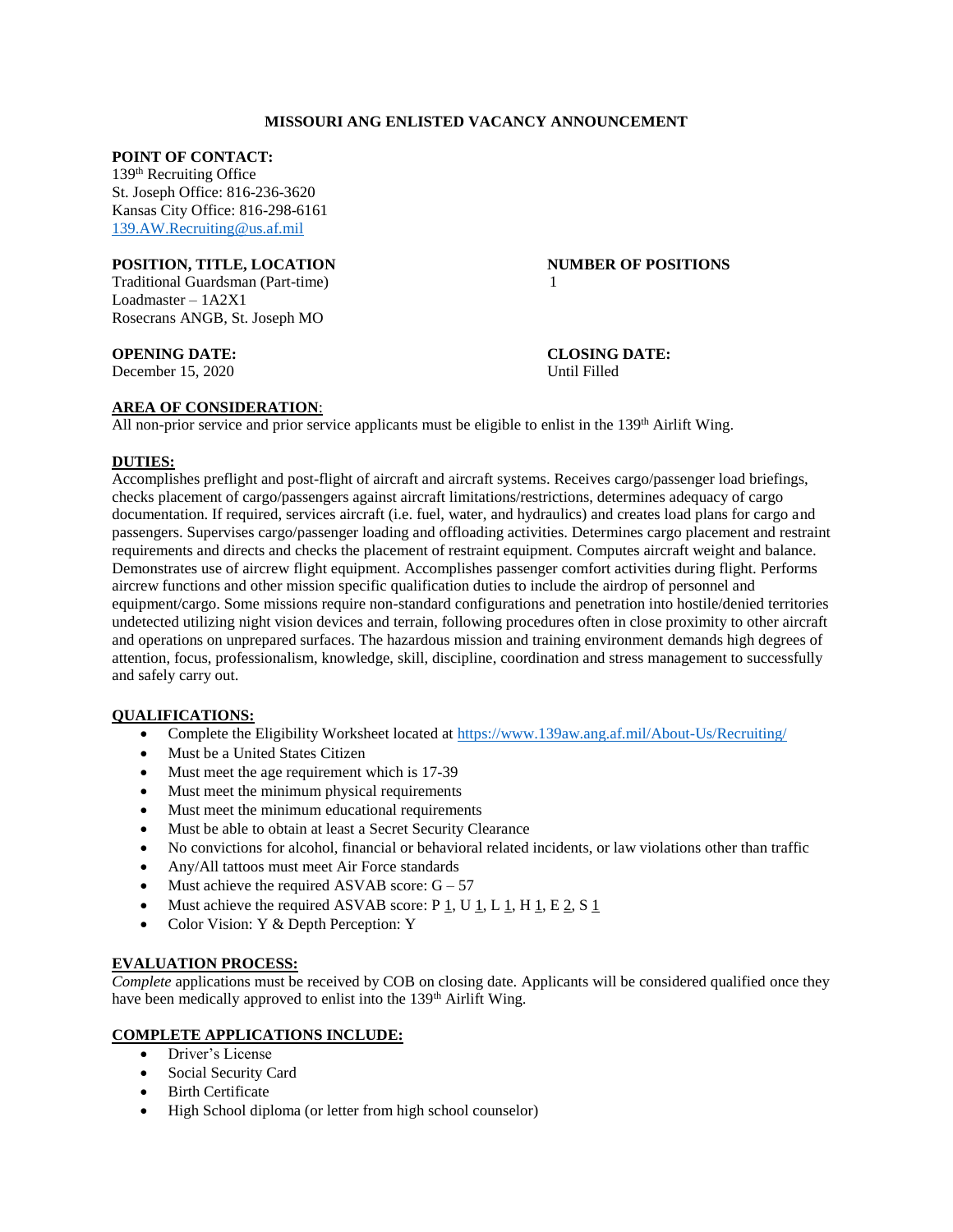# **MISSOURI ANG ENLISTED VACANCY ANNOUNCEMENT**

# **POINT OF CONTACT:**

139th Recruiting Office St. Joseph Office: 816-236-3620 Kansas City Office: 816-298-6161 [139.AW.Recruiting@us.af.mil](mailto:139.AW.Recruiting@us.af.mil)

# **POSITION, TITLE, LOCATION NUMBER OF POSITIONS**

Traditional Guardsman (Part-time) 1 Loadmaster – 1A2X1 Rosecrans ANGB, St. Joseph MO

December 15, 2020 Until Filled

**OPENING DATE: CLOSING DATE:**

# **AREA OF CONSIDERATION**:

All non-prior service and prior service applicants must be eligible to enlist in the  $139<sup>th</sup>$  Airlift Wing.

# **DUTIES:**

Accomplishes preflight and post-flight of aircraft and aircraft systems. Receives cargo/passenger load briefings, checks placement of cargo/passengers against aircraft limitations/restrictions, determines adequacy of cargo documentation. If required, services aircraft (i.e. fuel, water, and hydraulics) and creates load plans for cargo and passengers. Supervises cargo/passenger loading and offloading activities. Determines cargo placement and restraint requirements and directs and checks the placement of restraint equipment. Computes aircraft weight and balance. Demonstrates use of aircrew flight equipment. Accomplishes passenger comfort activities during flight. Performs aircrew functions and other mission specific qualification duties to include the airdrop of personnel and equipment/cargo. Some missions require non-standard configurations and penetration into hostile/denied territories undetected utilizing night vision devices and terrain, following procedures often in close proximity to other aircraft and operations on unprepared surfaces. The hazardous mission and training environment demands high degrees of attention, focus, professionalism, knowledge, skill, discipline, coordination and stress management to successfully and safely carry out.

### **QUALIFICATIONS:**

- Complete the Eligibility Worksheet located at<https://www.139aw.ang.af.mil/About-Us/Recruiting/>
- Must be a United States Citizen
- Must meet the age requirement which is 17-39
- Must meet the minimum physical requirements
- Must meet the minimum educational requirements
- Must be able to obtain at least a Secret Security Clearance
- No convictions for alcohol, financial or behavioral related incidents, or law violations other than traffic
- Any/All tattoos must meet Air Force standards
- $\bullet$  Must achieve the required ASVAB score:  $G 57$
- Must achieve the required ASVAB score: P  $\underline{1}$ , U  $\underline{1}$ , L  $\underline{1}$ , H  $\underline{1}$ , E  $\underline{2}$ , S  $\underline{1}$
- Color Vision: Y & Depth Perception: Y

### **EVALUATION PROCESS:**

*Complete* applications must be received by COB on closing date. Applicants will be considered qualified once they have been medically approved to enlist into the 139<sup>th</sup> Airlift Wing.

## **COMPLETE APPLICATIONS INCLUDE:**

- Driver's License
- Social Security Card
- Birth Certificate
- $\bullet$  High School diploma (or letter from high school counselor)